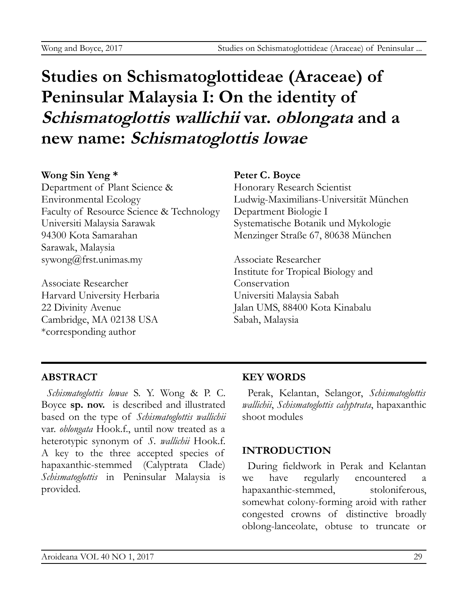# **Studies on Schismatoglottideae (Araceae) of Peninsular Malaysia I: On the identity of Schismatoglottis wallichii var. oblongata and a new name: Schismatoglottis lowae**

#### **Wong Sin Yeng \***

Department of Plant Science & Environmental Ecology Faculty of Resource Science & Technology Universiti Malaysia Sarawak 94300 Kota Samarahan Sarawak, Malaysia sywong@frst.unimas.my

Associate Researcher Harvard University Herbaria 22 Divinity Avenue Cambridge, MA 02138 USA \*corresponding author

## **Peter C. Boyce**

Honorary Research Scientist Ludwig-Maximilians-Universität München Department Biologie I Systematische Botanik und Mykologie Menzinger Straße 67, 80638 München

Associate Researcher Institute for Tropical Biology and **Conservation** Universiti Malaysia Sabah Jalan UMS, 88400 Kota Kinabalu Sabah, Malaysia

## **ABSTRACT**

*Schismatoglottis lowae* S. Y. Wong & P. C. Boyce **sp. nov.** is described and illustrated based on the type of *Schismatoglottis wallichii* var. *oblongata* Hook.f., until now treated as a heterotypic synonym of *S. wallichii* Hook.f. A key to the three accepted species of hapaxanthic-stemmed (Calyptrata Clade) *Schismatoglottis* in Peninsular Malaysia is provided.

## **KEY WORDS**

Perak, Kelantan, Selangor, *Schismatoglottis wallichii*, *Schismatoglottis calyptrata*, hapaxanthic shoot modules

## **INTRODUCTION**

During fieldwork in Perak and Kelantan we have regularly encountered hapaxanthic-stemmed, stoloniferous, somewhat colony-forming aroid with rather congested crowns of distinctive broadly oblong-lanceolate, obtuse to truncate or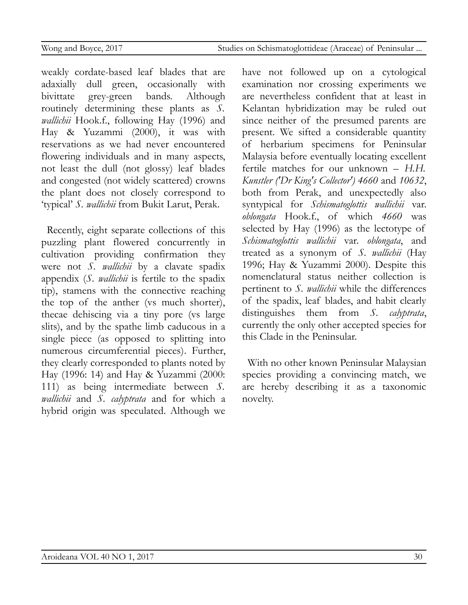weakly cordate-based leaf blades that are adaxially dull green, occasionally with bivittate grey-green bands. Although routinely determining these plants as *S. wallichii* Hook.f., following Hay (1996) and Hay & Yuzammi (2000), it was with reservations as we had never encountered flowering individuals and in many aspects, not least the dull (not glossy) leaf blades and congested (not widely scattered) crowns the plant does not closely correspond to 'typical' *S. wallichii* from Bukit Larut, Perak.

Recently, eight separate collections of this puzzling plant flowered concurrently in cultivation providing confirmation they were not *S. wallichii* by a clavate spadix appendix (*S. wallichii* is fertile to the spadix tip), stamens with the connective reaching the top of the anther (vs much shorter), thecae dehiscing via a tiny pore (vs large slits), and by the spathe limb caducous in a single piece (as opposed to splitting into numerous circumferential pieces). Further, they clearly corresponded to plants noted by Hay (1996: 14) and Hay & Yuzammi (2000: 111) as being intermediate between *S. wallichii* and *S. calyptrata* and for which a hybrid origin was speculated. Although we

have not followed up on a cytological examination nor crossing experiments we are nevertheless confident that at least in Kelantan hybridization may be ruled out since neither of the presumed parents are present. We sifted a considerable quantity of herbarium specimens for Peninsular Malaysia before eventually locating excellent fertile matches for our unknown – *H.H. Kunstler ('Dr King's Collector') 4660* and *10632*, both from Perak, and unexpectedly also syntypical for *Schismatoglottis wallichii* var. *oblongata* Hook.f., of which *4660* was selected by Hay (1996) as the lectotype of *Schismatoglottis wallichii* var. *oblongata*, and treated as a synonym of *S. wallichii* (Hay 1996; Hay & Yuzammi 2000). Despite this nomenclatural status neither collection is pertinent to *S. wallichii* while the differences of the spadix, leaf blades, and habit clearly distinguishes them from *S. calyptrata*, currently the only other accepted species for this Clade in the Peninsular.

With no other known Peninsular Malaysian species providing a convincing match, we are hereby describing it as a taxonomic novelty.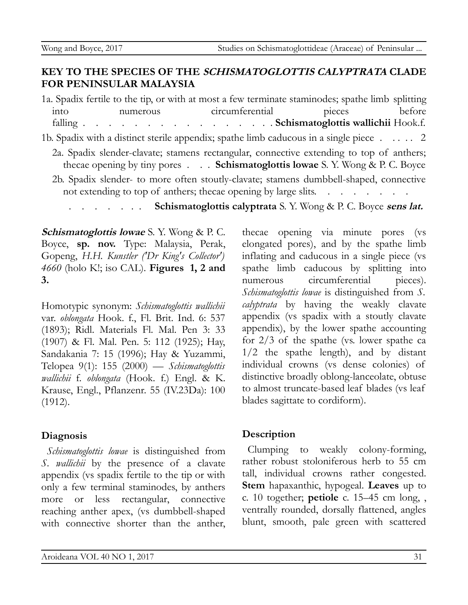## **KEY TO THE SPECIES OF THE SCHISMATOGLOTTIS CALYPTRATA CLADE FOR PENINSULAR MALAYSIA**

1a. Spadix fertile to the tip, or with at most a few terminate staminodes; spathe limb splitting into numerous circumferential pieces before falling . . . . . . . . . . . . . . . . **Schismatoglottis wallichii** Hook.f. 1b. Spadix with a distinct sterile appendix; spathe limb caducous in a single piece . . . . . 2 2a. Spadix slender-clavate; stamens rectangular, connective extending to top of anthers; thecae opening by tiny pores . . . **Schismatoglottis lowae** S. Y. Wong & P. C. Boyce 2b. Spadix slender- to more often stoutly-clavate; stamens dumbbell-shaped, connective not extending to top of anthers; thecae opening by large slits. . . . . . . . .

**Schismatoglottis calyptrata** S. Y. Wong & P. C. Boyce **sens lat.** 

**Schismatoglottis lowae** S. Y. Wong & P. C. Boyce, **sp. nov.** Type: Malaysia, Perak, Gopeng, *H.H. Kunstler ('Dr King's Collector') 4660* (holo K!; iso CAL). **Figures 1, 2 and 3.**

Homotypic synonym: *Schismatoglottis wallichii* var. *oblongata* Hook. f., Fl. Brit. Ind. 6: 537 (1893); Ridl. Materials Fl. Mal. Pen 3: 33 (1907) & Fl. Mal. Pen. 5: 112 (1925); Hay, Sandakania 7: 15 (1996); Hay & Yuzammi, Telopea 9(1): 155 (2000) — *Schismatoglottis wallichii* f. *oblongata* (Hook. f.) Engl. & K. Krause, Engl., Pflanzenr. 55 (IV.23Da): 100 (1912).

#### **Diagnosis**

*Schismatoglottis lowae* is distinguished from *S. wallichii* by the presence of a clavate appendix (vs spadix fertile to the tip or with only a few terminal staminodes, by anthers more or less rectangular, connective reaching anther apex, (vs dumbbell-shaped with connective shorter than the anther,

thecae opening via minute pores (vs elongated pores), and by the spathe limb inflating and caducous in a single piece (vs spathe limb caducous by splitting into numerous circumferential pieces). *Schismatoglottis lowae* is distinguished from *S. calyptrata* by having the weakly clavate appendix (vs spadix with a stoutly clavate appendix), by the lower spathe accounting for 2/3 of the spathe (vs. lower spathe ca 1/2 the spathe length), and by distant individual crowns (vs dense colonies) of distinctive broadly oblong-lanceolate, obtuse to almost truncate-based leaf blades (vs leaf blades sagittate to cordiform).

#### **Description**

Clumping to weakly colony-forming, rather robust stoloniferous herb to 55 cm tall, individual crowns rather congested. **Stem** hapaxanthic, hypogeal. **Leaves** up to c. 10 together; **petiole** c. 15–45 cm long, , ventrally rounded, dorsally flattened, angles blunt, smooth, pale green with scattered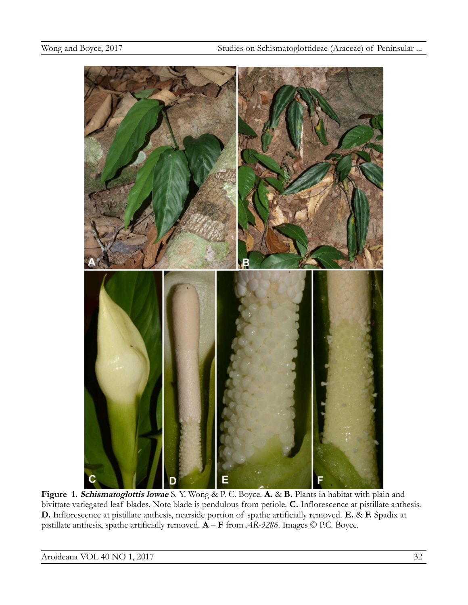

**Figure 1. Schismatoglottis lowae** S. Y. Wong & P. C. Boyce. **A.** & **B.** Plants in habitat with plain and bivittate variegated leaf blades. Note blade is pendulous from petiole. **C.** Inflorescence at pistillate anthesis. **D.** Inflorescence at pistillate anthesis, nearside portion of spathe artificially removed. **E.** & **F.** Spadix at pistillate anthesis, spathe artificially removed. **A** – **F** from *AR-3286*. Images © P.C. Boyce.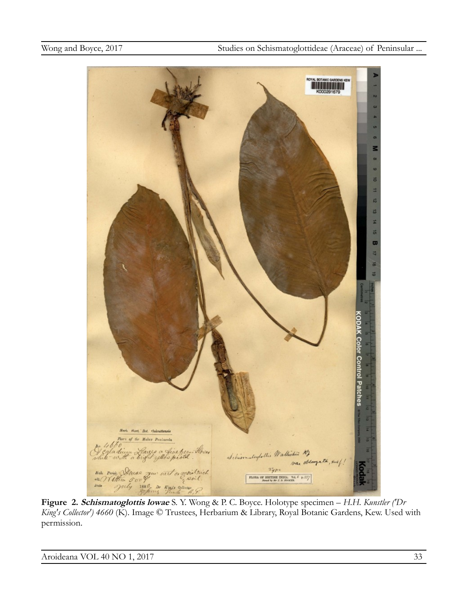

**Figure 2. Schismatoglottis lowae** S. Y. Wong & P. C. Boyce. Holotype specimen – *H.H. Kunstler ('Dr King's Collector') 4660* (K). Image © Trustees, Herbarium & Library, Royal Botanic Gardens, Kew. Used with permission.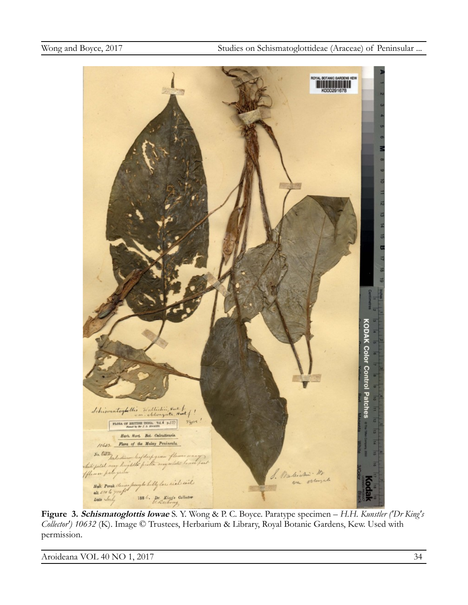

**Figure 3. Schismatoglottis lowae** S. Y. Wong & P. C. Boyce. Paratype specimen – *H.H. Kunstler ('Dr King's Collector') 10632* (K). Image © Trustees, Herbarium & Library, Royal Botanic Gardens, Kew. Used with permission.

Aroideana VOL 40 NO 1, 2017 34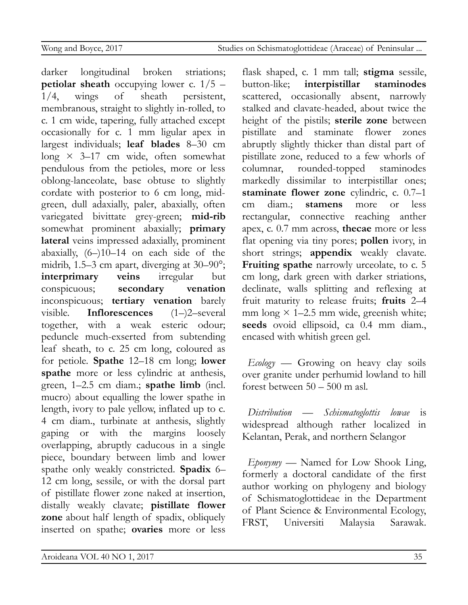darker longitudinal broken striations; **petiolar sheath** occupying lower c. 1/5 – 1/4, wings of sheath persistent, membranous, straight to slightly in-rolled, to c. 1 cm wide, tapering, fully attached except occasionally for c. 1 mm ligular apex in largest individuals; **leaf blades** 8–30 cm long  $\times$  3–17 cm wide, often somewhat pendulous from the petioles, more or less oblong-lanceolate, base obtuse to slightly cordate with posterior to 6 cm long, midgreen, dull adaxially, paler, abaxially, often variegated bivittate grey-green; **mid-rib** somewhat prominent abaxially; **primary lateral** veins impressed adaxially, prominent abaxially, (6–)10–14 on each side of the midrib, 1.5–3 cm apart, diverging at 30–90°; **interprimary veins** irregular but conspicuous; **secondary venation** inconspicuous; **tertiary venation** barely visible. **Inflorescences** (1–)2–several together, with a weak esteric odour; peduncle much-exserted from subtending leaf sheath, to c. 25 cm long, coloured as for petiole. **Spathe** 12–18 cm long; **lower spathe** more or less cylindric at anthesis, green, 1–2.5 cm diam.; **spathe limb** (incl. mucro) about equalling the lower spathe in length, ivory to pale yellow, inflated up to c. 4 cm diam., turbinate at anthesis, slightly gaping or with the margins loosely overlapping, abruptly caducous in a single piece, boundary between limb and lower spathe only weakly constricted. **Spadix** 6– 12 cm long, sessile, or with the dorsal part of pistillate flower zone naked at insertion, distally weakly clavate; **pistillate flower zone** about half length of spadix, obliquely inserted on spathe; **ovaries** more or less

flask shaped, c. 1 mm tall; **stigma** sessile, button-like; **interpistillar staminodes** scattered, occasionally absent, narrowly stalked and clavate-headed, about twice the height of the pistils; **sterile zone** between pistillate and staminate flower zones abruptly slightly thicker than distal part of pistillate zone, reduced to a few whorls of columnar, rounded-topped staminodes markedly dissimilar to interpistillar ones; **staminate flower zone** cylindric, c. 0.7–1 cm diam.; **stamens** more or less rectangular, connective reaching anther apex, c. 0.7 mm across, **thecae** more or less flat opening via tiny pores; **pollen** ivory, in short strings; **appendix** weakly clavate. Fruiting spathe narrowly urceolate, to c. 5 cm long, dark green with darker striations, declinate, walls splitting and reflexing at fruit maturity to release fruits; **fruits** 2–4 mm long  $\times$  1–2.5 mm wide, greenish white; **seeds** ovoid ellipsoid, ca 0.4 mm diam., encased with whitish green gel.

*Ecology* — Growing on heavy clay soils over granite under perhumid lowland to hill forest between 50 – 500 m asl.

*Distribution* — *Schismatoglottis lowae* is widespread although rather localized in Kelantan, Perak, and northern Selangor

*Eponymy* — Named for Low Shook Ling, formerly a doctoral candidate of the first author working on phylogeny and biology of Schismatoglottideae in the Department of Plant Science & Environmental Ecology, FRST, Universiti Malaysia Sarawak.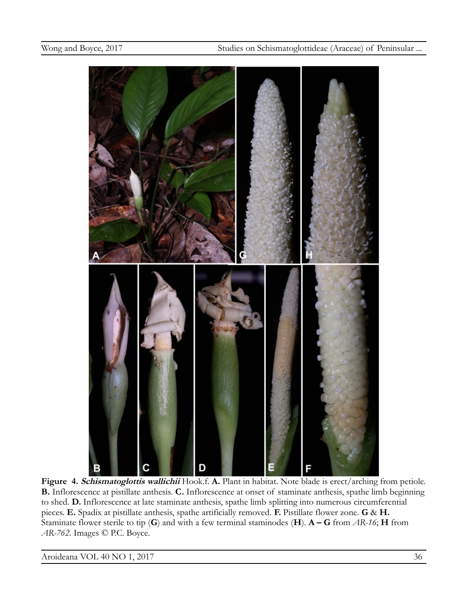

**Figure 4. Schismatoglottis wallichii** Hook.f. **A.** Plant in habitat. Note blade is erect/arching from petiole. **B.** Inflorescence at pistillate anthesis. **C.** Inflorescence at onset of staminate anthesis, spathe limb beginning to shed. **D.** Inflorescence at late staminate anthesis, spathe limb splitting into numerous circumferential pieces. **E.** Spadix at pistillate anthesis, spathe artificially removed. **F.** Pistillate flower zone. **G** & **H.**  Staminate flower sterile to tip (**G**) and with a few terminal staminodes (**H**). **A – G** from *AR-16*; **H** from *AR-762*. Images © P.C. Boyce.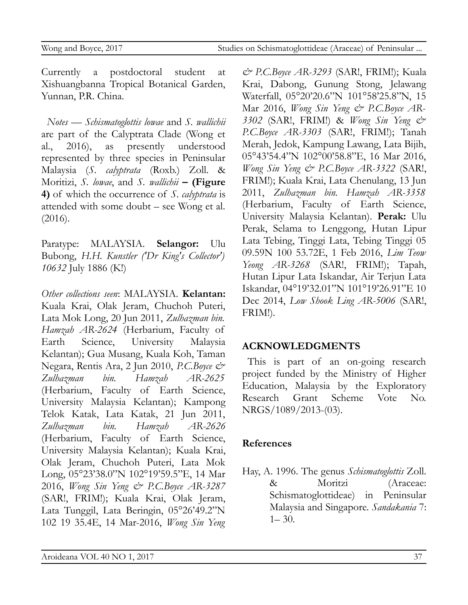Currently a postdoctoral student at Xishuangbanna Tropical Botanical Garden, Yunnan, P.R. China.

*Notes* — *Schismatoglottis lowae* and *S. wallichii* are part of the Calyptrata Clade (Wong et al., 2016), as presently understood represented by three species in Peninsular Malaysia (*S. calyptrata* (Roxb.) Zoll. & Moritizi, *S. lowae*, and *S. wallichii* **– (Figure 4)** of which the occurrence of *S. calyptrata* is attended with some doubt – see Wong et al. (2016).

Paratype: MALAYSIA. **Selangor:** Ulu Bubong, *H.H. Kunstler ('Dr King's Collector') 10632* July 1886 (K!)

*Other collections seen*: MALAYSIA. **Kelantan:** Kuala Krai, Olak Jeram, Chuchoh Puteri, Lata Mok Long, 20 Jun 2011, *Zulhazman bin. Hamzah AR-2624* (Herbarium, Faculty of Earth Science, University Malaysia Kelantan); Gua Musang, Kuala Koh, Taman Negara, Rentis Ara, 2 Jun 2010, *P.C.Boyce & Zulhazman bin. Hamzah AR-2625* (Herbarium, Faculty of Earth Science, University Malaysia Kelantan); Kampong Telok Katak, Lata Katak, 21 Jun 2011, *Zulhazman bin. Hamzah AR-2626* (Herbarium, Faculty of Earth Science, University Malaysia Kelantan); Kuala Krai, Olak Jeram, Chuchoh Puteri, Lata Mok Long, 05°23'38.0"N 102°19'59.5"E, 14 Mar 2016, *Wong Sin Yeng & P.C.Boyce AR-3287* (SAR!, FRIM!); Kuala Krai, Olak Jeram, Lata Tunggil, Lata Beringin, 05°26'49.2"N 102 19 35.4E, 14 Mar-2016, *Wong Sin Yeng*

*& P.C.Boyce AR-3293* (SAR!, FRIM!); Kuala Krai, Dabong, Gunung Stong, Jelawang Waterfall, 05°20'20.6"N 101°58'25.8"N, 15 Mar 2016, *Wong Sin Yeng & P.C.Boyce AR-3302* (SAR!, FRIM!) & *Wong Sin Yeng & P.C.Boyce AR-3303* (SAR!, FRIM!); Tanah Merah, Jedok, Kampung Lawang, Lata Bijih, 05°43'54.4"N 102°00'58.8"E, 16 Mar 2016, *Wong Sin Yeng & P.C.Boyce AR-3322* (SAR!, FRIM!); Kuala Krai, Lata Chenulang, 13 Jun 2011, *Zulhazman bin. Hamzah AR-3358* (Herbarium, Faculty of Earth Science, University Malaysia Kelantan). **Perak:** Ulu Perak, Selama to Lenggong, Hutan Lipur Lata Tebing, Tinggi Lata, Tebing Tinggi 05 09.59N 100 53.72E, 1 Feb 2016, *Lim Teow Yeong AR-3268* (SAR!, FRIM!); Tapah, Hutan Lipur Lata Iskandar, Air Terjun Lata Iskandar, 04°19'32.01"N 101°19'26.91"E 10 Dec 2014, *Low Shook Ling AR-5006* (SAR!, FRIM!).

## **ACKNOWLEDGMENTS**

This is part of an on-going research project funded by the Ministry of Higher Education, Malaysia by the Exploratory Research Grant Scheme Vote No. NRGS/1089/2013-(03).

## **References**

Hay, A. 1996. The genus *Schismatoglottis* Zoll. & Moritzi (Araceae: Schismatoglottideae) in Peninsular Malaysia and Singapore. *Sandakania* 7:  $1 - 30$ .